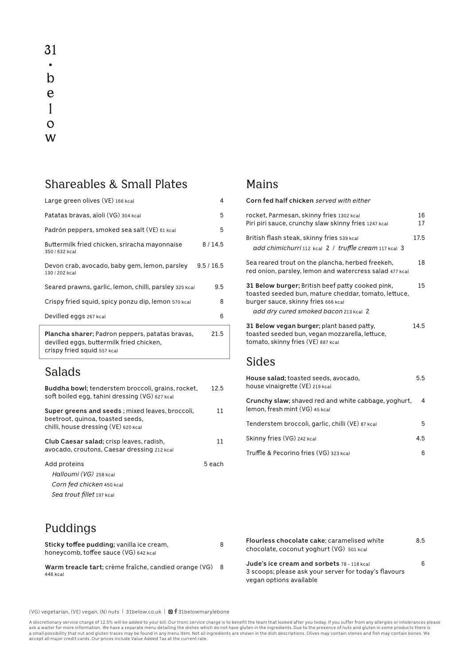31  $\bullet$  $\mathbf b$ e  $\mathbf{1}$  $\overline{O}$ W

#### Shareables & Small Plates

| Large green olives (VE) 166 kcal                                                                                           | 4          |
|----------------------------------------------------------------------------------------------------------------------------|------------|
| Patatas bravas, aïoli (VG) 304 kcal                                                                                        | 5          |
| Padrón peppers, smoked sea salt (VE) 61 kcal                                                                               | 5          |
| Buttermilk fried chicken, sriracha mayonnaise<br>350 / 632 kcal                                                            | 8/14.5     |
| Devon crab, avocado, baby gem, lemon, parsley<br>130 / 202 kcal                                                            | 9.5 / 16.5 |
| Seared prawns, garlic, lemon, chilli, parsley 325 kcal                                                                     | 9.5        |
| Crispy fried squid, spicy ponzu dip, lemon 570 kcal                                                                        | 8          |
| Devilled eggs 267 kcal                                                                                                     | 6          |
| Plancha sharer; Padron peppers, patatas bravas,<br>devilled eggs, buttermilk fried chicken,<br>crispy fried squid 557 kcal | 21.5       |

#### Salads

| Buddha bowl; tenderstem broccoli, grains, rocket,<br>soft boiled egg, tahini dressing (VG) 627 kcal                         | 12.5    |
|-----------------------------------------------------------------------------------------------------------------------------|---------|
| Super greens and seeds; mixed leaves, broccoli,<br>beetroot, quinoa, toasted seeds,<br>chilli, house dressing (VE) 620 kcal | 11      |
| Club Caesar salad; crisp leaves, radish,<br>avocado, croutons, Caesar dressing 212 kcal                                     | 11      |
| Add proteins<br>Halloumi (VG) 258 kcal<br>Corn fed chicken 450 kcal<br>Sea trout fillet 197 kcal                            | 5 each. |

# **Corn fed half chicken** *served with either*

Mains

| rocket, Parmesan, skinny fries 1302 kcal                                                                                                        | 16   |
|-------------------------------------------------------------------------------------------------------------------------------------------------|------|
| Piri piri sauce, crunchy slaw skinny fries 1247 kcal                                                                                            | 17   |
| British flash steak, skinny fries 539 kcal                                                                                                      | 17.5 |
| add chimichurri 112 kcal 2 / truffle cream 117 kcal 3                                                                                           |      |
| Sea reared trout on the plancha, herbed freekeh,<br>red onion, parsley, lemon and watercress salad 477 kcal                                     | 18   |
| 31 Below burger; British beef patty cooked pink,<br>toasted seeded bun, mature cheddar, tomato, lettuce,<br>burger sauce, skinny fries 666 kcal | 15   |
| add dry cured smoked bacon 213 kcal 2                                                                                                           |      |
| 31 Below vegan burger; plant based patty,<br>toasted seeded bun, vegan mozzarella, lettuce,<br>tomato, skinny fries (VE) 887 kcal               | 14.5 |
| <b>Sides</b>                                                                                                                                    |      |
| House salad; toasted seeds, avocado,<br>house vinaigrette (VE) 219 kcal                                                                         | 5.5  |
| Crunchy slaw; shaved red and white cabbage, yoghurt,<br>lemon, fresh mint (VG) 45 kcal                                                          | 4    |

| Tenderstem broccoli, garlic, chilli (VE) 87 kcal | 5.  |
|--------------------------------------------------|-----|
| Skinny fries (VG) 242 kcal                       | 4.5 |
| Truffle & Pecorino fries (VG) 323 kcal           |     |

| Flourless chocolate cake; caramelised white<br>chocolate, coconut yoghurt (VG) 501 kcal                                        | 8.5 |
|--------------------------------------------------------------------------------------------------------------------------------|-----|
| Jude's ice cream and sorbets 78 - 118 kcal<br>3 scoops; please ask your server for today's flavours<br>vegan options available | 6.  |

### Puddings

| Sticky toffee pudding; vanilla ice cream,<br>honeycomb, toffee sauce (VG) 642 kcal | 8 |
|------------------------------------------------------------------------------------|---|
| Warm treacle tart; crème fraîche, candied orange (VG)<br>446 kcal                  | 8 |

(VG) vegetarian, (VE) vegan, (N) nuts | 31below.co.uk |  $\blacksquare$  f 31belowmarylebone

A discretionary service charge of 12.5% will be added to your bill. Our tronc service charge is to benefit the team that looked after you today. If you suffer from any allergies or intolerances please<br>a sk a waiter for mor